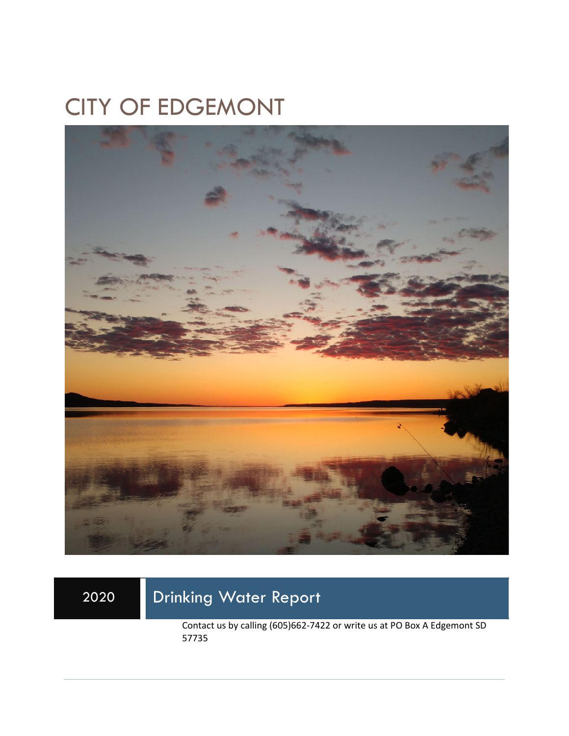# CITY OF EDGEMONT



## 2020 Drinking Water Report

Contact us by calling (605)662-7422 or write us at PO Box A Edgemont SD 57735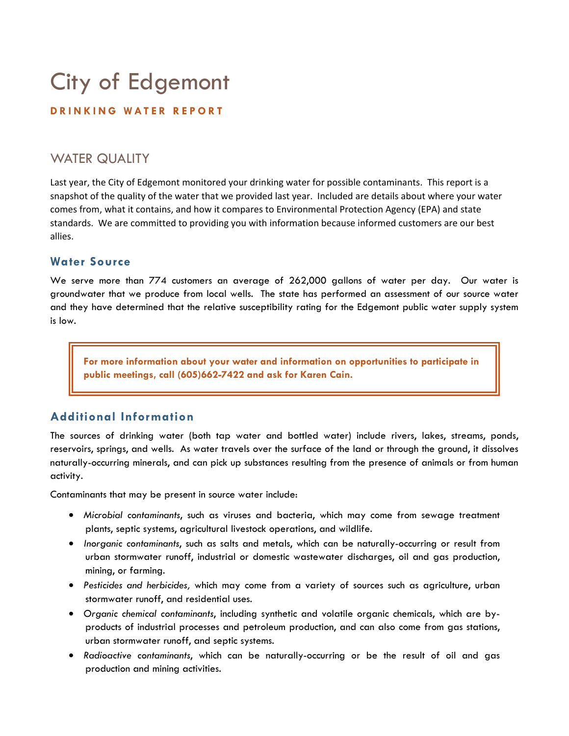# City of Edgemont

#### **DRINKING WATER REPORT**

### WATER QUALITY

Last year, the City of Edgemont monitored your drinking water for possible contaminants. This report is a snapshot of the quality of the water that we provided last year. Included are details about where your water comes from, what it contains, and how it compares to Environmental Protection Agency (EPA) and state standards. We are committed to providing you with information because informed customers are our best allies.

#### **Water Source**

We serve more than 774 customers an average of 262,000 gallons of water per day. Our water is groundwater that we produce from local wells. The state has performed an assessment of our source water and they have determined that the relative susceptibility rating for the Edgemont public water supply system is low.

**For more information about your water and information on opportunities to participate in public meetings, call (605)662-7422 and ask for Karen Cain.** 

#### **Additional Information**

The sources of drinking water (both tap water and bottled water) include rivers, lakes, streams, ponds, reservoirs, springs, and wells. As water travels over the surface of the land or through the ground, it dissolves naturally-occurring minerals, and can pick up substances resulting from the presence of animals or from human activity.

Contaminants that may be present in source water include:

- *Microbial contaminants*, such as viruses and bacteria, which may come from sewage treatment plants, septic systems, agricultural livestock operations, and wildlife.
- *Inorganic contaminants*, such as salts and metals, which can be naturally-occurring or result from urban stormwater runoff, industrial or domestic wastewater discharges, oil and gas production, mining, or farming.
- *Pesticides and herbicides,* which may come from a variety of sources such as agriculture, urban stormwater runoff, and residential uses.
- *Organic chemical contaminants*, including synthetic and volatile organic chemicals, which are byproducts of industrial processes and petroleum production, and can also come from gas stations, urban stormwater runoff, and septic systems.
- *Radioactive contaminants*, which can be naturally-occurring or be the result of oil and gas production and mining activities.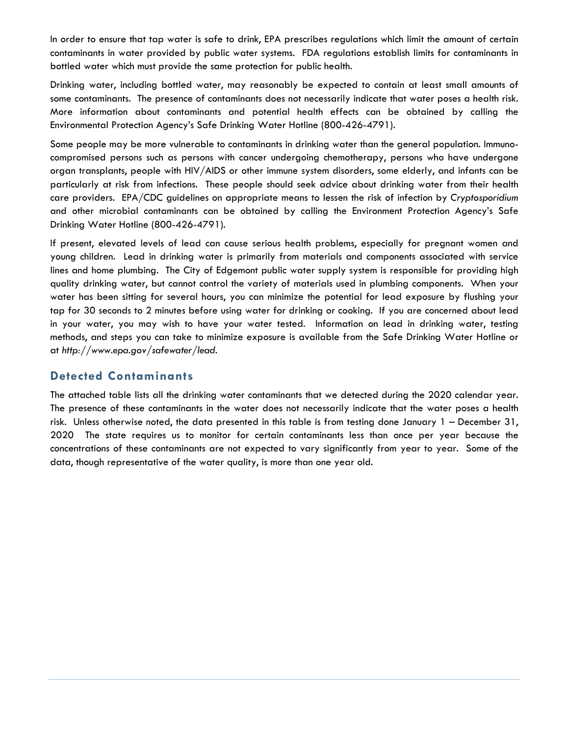In order to ensure that tap water is safe to drink, EPA prescribes regulations which limit the amount of certain contaminants in water provided by public water systems. FDA regulations establish limits for contaminants in bottled water which must provide the same protection for public health.

Drinking water, including bottled water, may reasonably be expected to contain at least small amounts of some contaminants. The presence of contaminants does not necessarily indicate that water poses a health risk. More information about contaminants and potential health effects can be obtained by calling the Environmental Protection Agency's Safe Drinking Water Hotline (800-426-4791).

Some people may be more vulnerable to contaminants in drinking water than the general population. Immunocompromised persons such as persons with cancer undergoing chemotherapy, persons who have undergone organ transplants, people with HIV/AIDS or other immune system disorders, some elderly, and infants can be particularly at risk from infections. These people should seek advice about drinking water from their health care providers. EPA/CDC guidelines on appropriate means to lessen the risk of infection by *Cryptosporidium* and other microbial contaminants can be obtained by calling the Environment Protection Agency's Safe Drinking Water Hotline (800-426-4791).

If present, elevated levels of lead can cause serious health problems, especially for pregnant women and young children. Lead in drinking water is primarily from materials and components associated with service lines and home plumbing. The City of Edgemont public water supply system is responsible for providing high quality drinking water, but cannot control the variety of materials used in plumbing components. When your water has been sitting for several hours, you can minimize the potential for lead exposure by flushing your tap for 30 seconds to 2 minutes before using water for drinking or cooking. If you are concerned about lead in your water, you may wish to have your water tested. Information on lead in drinking water, testing methods, and steps you can take to minimize exposure is available from the Safe Drinking Water Hotline or at *http://www.epa.gov/safewater/lead*.

#### **Detected Contaminants**

The attached table lists all the drinking water contaminants that we detected during the 2020 calendar year. The presence of these contaminants in the water does not necessarily indicate that the water poses a health risk. Unless otherwise noted, the data presented in this table is from testing done January 1 – December 31, 2020 The state requires us to monitor for certain contaminants less than once per year because the concentrations of these contaminants are not expected to vary significantly from year to year. Some of the data, though representative of the water quality, is more than one year old.